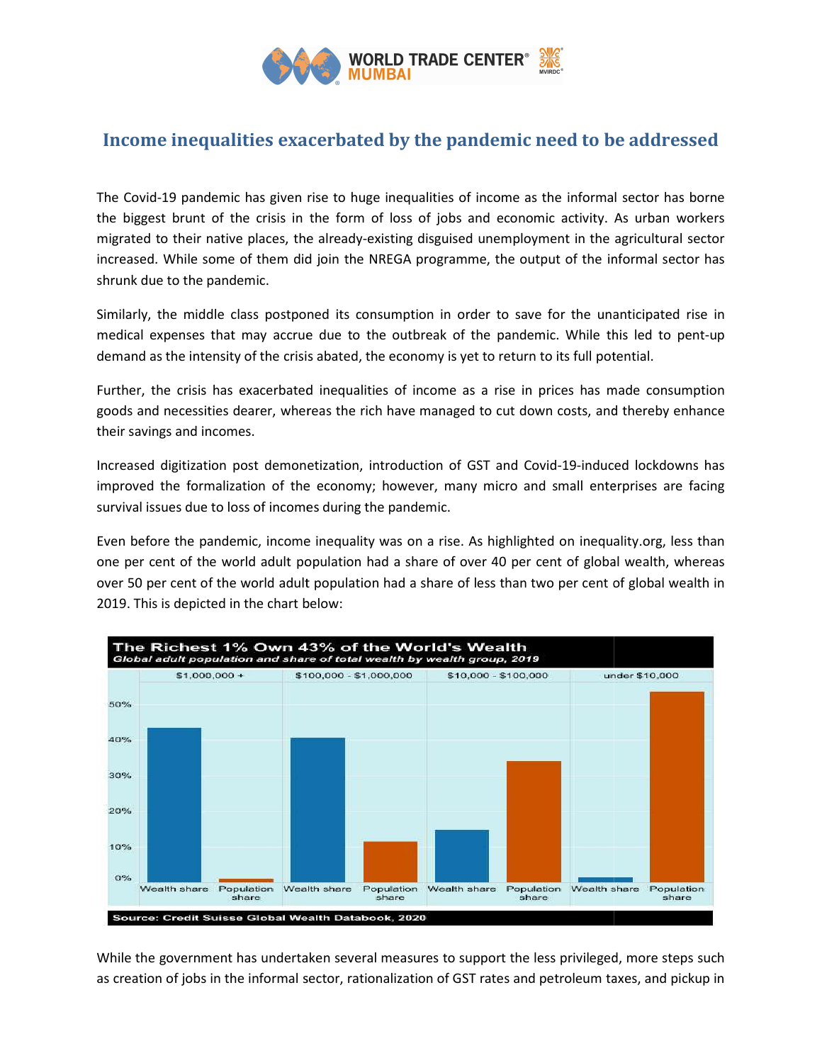

## Income inequalities exacerbated by the pandemic need to be addressed

The Covid-19 pandemic has given rise to huge inequalities of income as the informal sector has borne the biggest brunt of the crisis in the form of loss of jobs and economic activity. As urban workers migrated to their native places, the already-existing disguised unemployment in the agricultural sector increased. While some of them did join the NREGA programme, the output of the informal sector has shrunk due to the pandemic.

Similarly, the middle class postponed its consumption in order to save for the unanticipated rise in medical expenses that may accrue due to the outbreak of the pandemic. While this led to pent-up demand as the intensity of the crisis abated, the economy is yet to return to its full potential.

Further, the crisis has exacerbated inequalities of income as a rise in prices has made consumption goods and necessities dearer, whereas the rich have managed to cut down costs, and thereby enhance their savings and incomes.

Increased digitization post demonetization, introduction of GST and Covid-19-induced lockdowns has improved the formalization of the economy; however, many micro and small enterprises are facing survival issues due to loss of incomes during the pandemic.

Even before the pandemic, income inequality was on a rise. As highlighted on inequality.org, less than one per cent of the world adult population had a share of over 40 per cent of global wealth, whereas over 50 per cent of the world adult population had a share of less than two per cent of global wealth in 2019. This is depicted in the chart below:



While the government has undertaken several measures to support the less privileged, more steps such as creation of jobs in the informal sector, rationalization of GST rates and petroleum taxes, and pickup in